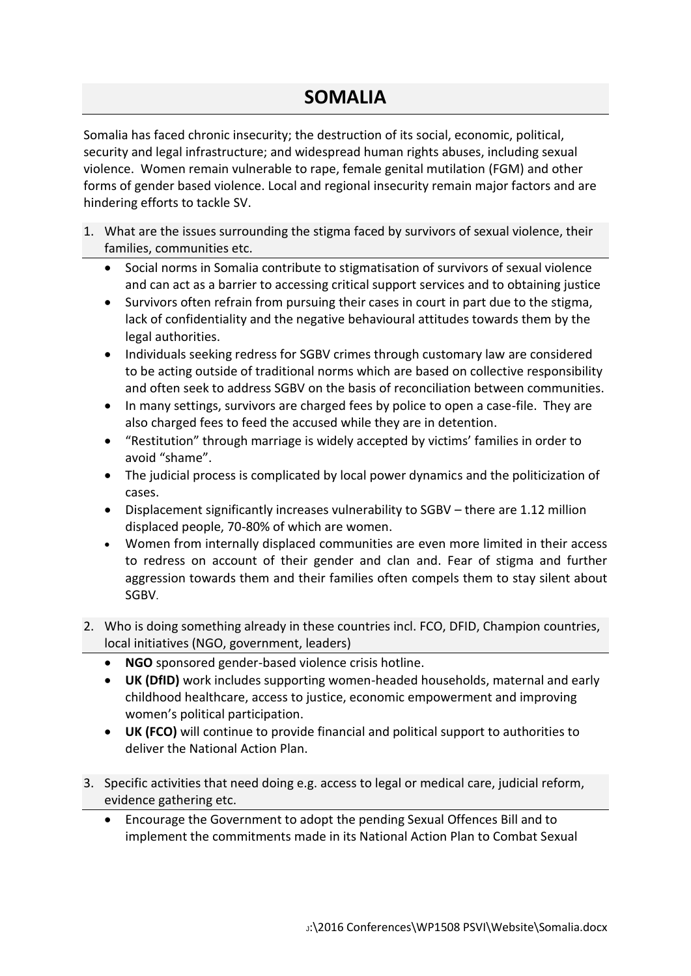## **SOMALIA**

Somalia has faced chronic insecurity; the destruction of its social, economic, political, security and legal infrastructure; and widespread human rights abuses, including sexual violence. Women remain vulnerable to rape, female genital mutilation (FGM) and other forms of gender based violence. Local and regional insecurity remain major factors and are hindering efforts to tackle SV.

- 1. What are the issues surrounding the stigma faced by survivors of sexual violence, their families, communities etc.
	- Social norms in Somalia contribute to stigmatisation of survivors of sexual violence and can act as a barrier to accessing critical support services and to obtaining justice
	- Survivors often refrain from pursuing their cases in court in part due to the stigma, lack of confidentiality and the negative behavioural attitudes towards them by the legal authorities.
	- Individuals seeking redress for SGBV crimes through customary law are considered to be acting outside of traditional norms which are based on collective responsibility and often seek to address SGBV on the basis of reconciliation between communities.
	- In many settings, survivors are charged fees by police to open a case-file. They are also charged fees to feed the accused while they are in detention.
	- "Restitution" through marriage is widely accepted by victims' families in order to avoid "shame".
	- The judicial process is complicated by local power dynamics and the politicization of cases.
	- Displacement significantly increases vulnerability to SGBV there are 1.12 million displaced people, 70-80% of which are women.
	- Women from internally displaced communities are even more limited in their access to redress on account of their gender and clan and. Fear of stigma and further aggression towards them and their families often compels them to stay silent about SGBV.
- 2. Who is doing something already in these countries incl. FCO, DFID, Champion countries, local initiatives (NGO, government, leaders)
	- **NGO** sponsored gender-based violence crisis hotline.
	- **UK (DfID)** work includes supporting women-headed households, maternal and early childhood healthcare, access to justice, economic empowerment and improving women's political participation.
	- **UK (FCO)** will continue to provide financial and political support to authorities to deliver the National Action Plan.
- 3. Specific activities that need doing e.g. access to legal or medical care, judicial reform, evidence gathering etc.
	- Encourage the Government to adopt the pending Sexual Offences Bill and to implement the commitments made in its National Action Plan to Combat Sexual